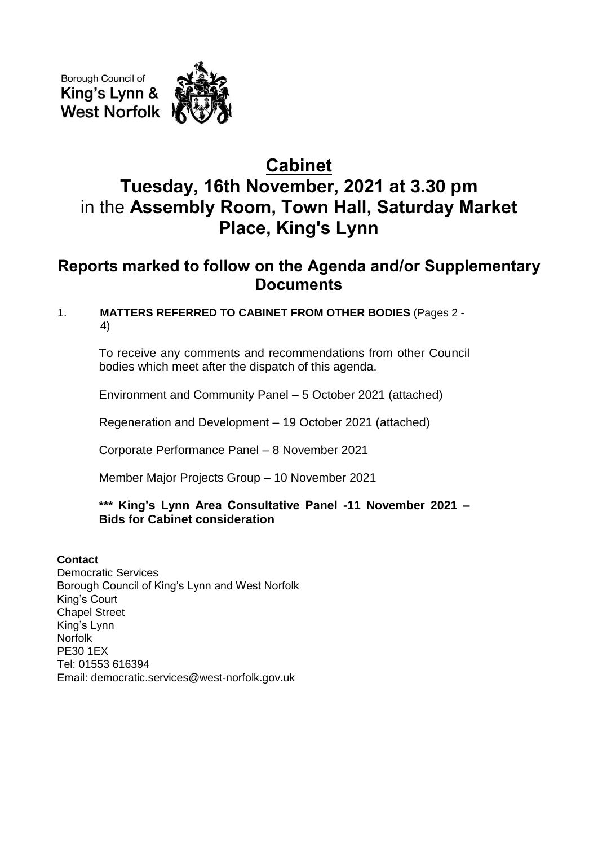Borough Council of King's Lynn & **West Norfolk** 

# **Cabinet Tuesday, 16th November, 2021 at 3.30 pm** in the **Assembly Room, Town Hall, Saturday Market Place, King's Lynn**

## **Reports marked to follow on the Agenda and/or Supplementary Documents**

### 1. **MATTERS REFERRED TO CABINET FROM OTHER BODIES** (Pages 2 - 4)

To receive any comments and recommendations from other Council bodies which meet after the dispatch of this agenda.

Environment and Community Panel – 5 October 2021 (attached)

Regeneration and Development – 19 October 2021 (attached)

Corporate Performance Panel – 8 November 2021

Member Major Projects Group – 10 November 2021

#### **\*\*\* King's Lynn Area Consultative Panel -11 November 2021 – Bids for Cabinet consideration**

#### **Contact**

Democratic Services Borough Council of King's Lynn and West Norfolk King's Court Chapel Street King's Lynn Norfolk PE30 1EX Tel: 01553 616394 Email: democratic.services@west-norfolk.gov.uk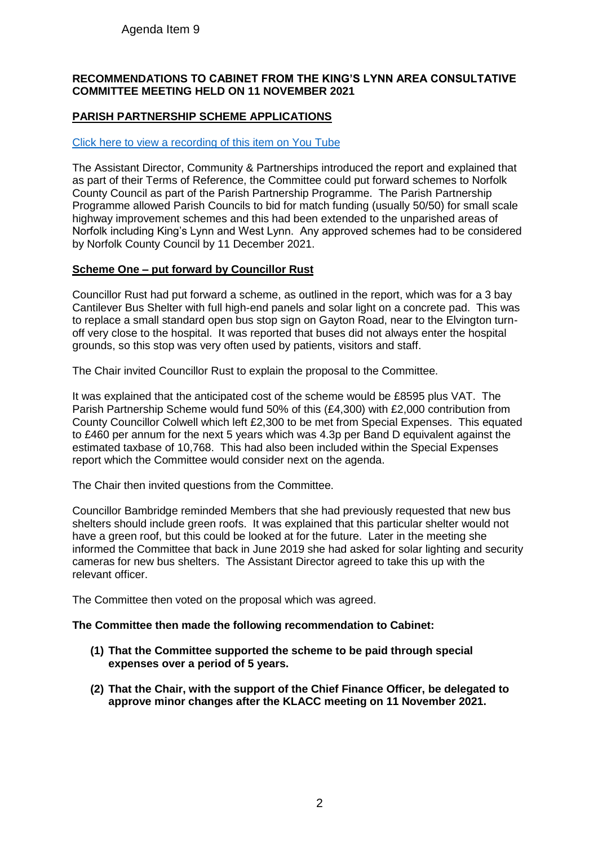#### Agenda Item 9

#### **RECOMMENDATIONS TO CABINET FROM THE KING'S LYNN AREA CONSULTATIVE COMMITTEE MEETING HELD ON 11 NOVEMBER 2021**

#### **PARISH PARTNERSHIP SCHEME APPLICATIONS**

#### [Click here to view a recording of this item on You Tube](https://youtu.be/ZcOOpSB35UU?t=239)

The Assistant Director, Community & Partnerships introduced the report and explained that as part of their Terms of Reference, the Committee could put forward schemes to Norfolk County Council as part of the Parish Partnership Programme. The Parish Partnership Programme allowed Parish Councils to bid for match funding (usually 50/50) for small scale highway improvement schemes and this had been extended to the unparished areas of Norfolk including King's Lynn and West Lynn. Any approved schemes had to be considered by Norfolk County Council by 11 December 2021.

#### **Scheme One – put forward by Councillor Rust**

Councillor Rust had put forward a scheme, as outlined in the report, which was for a 3 bay Cantilever Bus Shelter with full high-end panels and solar light on a concrete pad. This was to replace a small standard open bus stop sign on Gayton Road, near to the Elvington turnoff very close to the hospital. It was reported that buses did not always enter the hospital grounds, so this stop was very often used by patients, visitors and staff.

The Chair invited Councillor Rust to explain the proposal to the Committee.

It was explained that the anticipated cost of the scheme would be £8595 plus VAT. The Parish Partnership Scheme would fund 50% of this (£4,300) with £2,000 contribution from County Councillor Colwell which left £2,300 to be met from Special Expenses. This equated to £460 per annum for the next 5 years which was 4.3p per Band D equivalent against the estimated taxbase of 10,768. This had also been included within the Special Expenses report which the Committee would consider next on the agenda.

The Chair then invited questions from the Committee.

Councillor Bambridge reminded Members that she had previously requested that new bus shelters should include green roofs. It was explained that this particular shelter would not have a green roof, but this could be looked at for the future. Later in the meeting she informed the Committee that back in June 2019 she had asked for solar lighting and security cameras for new bus shelters. The Assistant Director agreed to take this up with the relevant officer.

The Committee then voted on the proposal which was agreed.

#### **The Committee then made the following recommendation to Cabinet:**

- **(1) That the Committee supported the scheme to be paid through special expenses over a period of 5 years.**
- **(2) That the Chair, with the support of the Chief Finance Officer, be delegated to approve minor changes after the KLACC meeting on 11 November 2021.**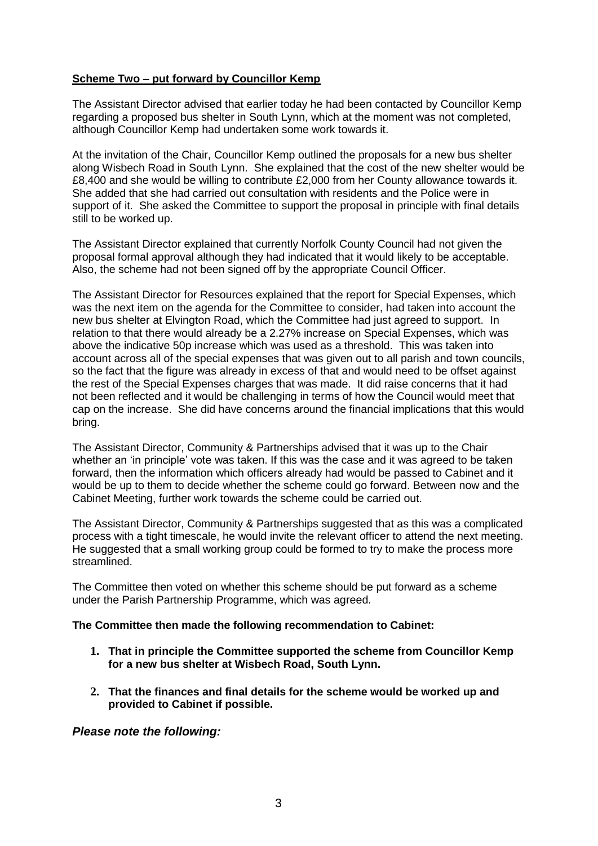#### **Scheme Two – put forward by Councillor Kemp**

The Assistant Director advised that earlier today he had been contacted by Councillor Kemp regarding a proposed bus shelter in South Lynn, which at the moment was not completed, although Councillor Kemp had undertaken some work towards it.

At the invitation of the Chair, Councillor Kemp outlined the proposals for a new bus shelter along Wisbech Road in South Lynn. She explained that the cost of the new shelter would be £8,400 and she would be willing to contribute £2,000 from her County allowance towards it. She added that she had carried out consultation with residents and the Police were in support of it. She asked the Committee to support the proposal in principle with final details still to be worked up.

The Assistant Director explained that currently Norfolk County Council had not given the proposal formal approval although they had indicated that it would likely to be acceptable. Also, the scheme had not been signed off by the appropriate Council Officer.

The Assistant Director for Resources explained that the report for Special Expenses, which was the next item on the agenda for the Committee to consider, had taken into account the new bus shelter at Elvington Road, which the Committee had just agreed to support. In relation to that there would already be a 2.27% increase on Special Expenses, which was above the indicative 50p increase which was used as a threshold. This was taken into account across all of the special expenses that was given out to all parish and town councils, so the fact that the figure was already in excess of that and would need to be offset against the rest of the Special Expenses charges that was made. It did raise concerns that it had not been reflected and it would be challenging in terms of how the Council would meet that cap on the increase. She did have concerns around the financial implications that this would bring.

The Assistant Director, Community & Partnerships advised that it was up to the Chair whether an 'in principle' vote was taken. If this was the case and it was agreed to be taken forward, then the information which officers already had would be passed to Cabinet and it would be up to them to decide whether the scheme could go forward. Between now and the Cabinet Meeting, further work towards the scheme could be carried out.

The Assistant Director, Community & Partnerships suggested that as this was a complicated process with a tight timescale, he would invite the relevant officer to attend the next meeting. He suggested that a small working group could be formed to try to make the process more streamlined.

The Committee then voted on whether this scheme should be put forward as a scheme under the Parish Partnership Programme, which was agreed.

#### **The Committee then made the following recommendation to Cabinet:**

- **1. That in principle the Committee supported the scheme from Councillor Kemp for a new bus shelter at Wisbech Road, South Lynn.**
- **2. That the finances and final details for the scheme would be worked up and provided to Cabinet if possible.**

#### *Please note the following:*